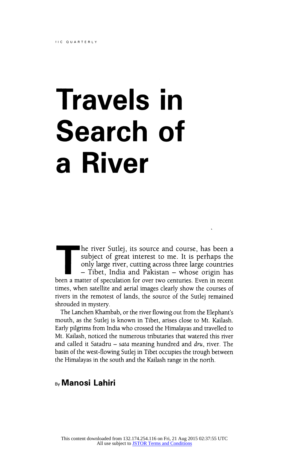## Travels in Search of a River

The The river Sutlej, its source and course, has been a subject of great interest to me. It is perhaps the only large river, cutting across three large countries - Tibet, India and Pakistan - whose origin has been a matter of speculation for over two centuries. Even in recent times, when satellite and aerial images clearly show the courses of rivers in the remotest of lands, the source of the Sutlej remained shrouded in mystery.

The Lanchen Khambab, or the river flowing out from the Elephant's mouth, as the Sutlej is known in Tibet, arises close to Mt. Kailash. Early pilgrims from India who crossed the Himalayas and travelled to Mt. Kailash, noticed the numerous tributaries that watered this river and called it Satadru  $-$  sata meaning hundred and dru, river. The basin of the west-flowing Sutlej in Tibet occupies the trough between the Himalayas in the south and the Kailash range in the north.

Manosi Lahiri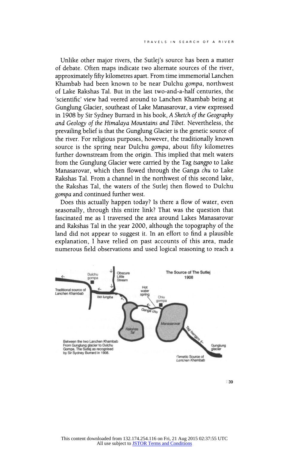Unlike other major rivers, the Sutlej's source has been a matter of debate. Often maps indicate two alternate sources of the river, approximately fifty kilometres apart. From time immemorial Lanchen Khambab had been known to be near Dulchu gompa, northwest of Lake Rakshas Tal. But in the last two-and-a-half centuries, the 'scientific' view had veered around to Lanchen Khambab being at Gunglung Glacier, southeast of Lake Manasarovar, a view expressed in 1908 by Sir Sydney Burrard in his book, A Sketch of the Geography and Geology oj the Himalaya Mountains and Tibet. Nevertheless, the prevailing belief is that the Gunglung Glacier is the genetic source of the river. For religious purposes, however, the traditionally known source is the spring near Dulchu gompa, about fifty kilometres further downstream from the origin. This implied that melt waters from the Gunglung Glacier were carried by the Tag tsangpo to Lake Manasarovar, which then flowed through the Ganga chu to Lake Rakshas Tal. From a channel in the northwest of this second lake, the Rakshas Tal, the waters of the Sutlej then flowed to Dulchu gompa and continued further west.

Does this actually happen today? Is there a flow of water, even seasonally, through this entire link? That was the question that fascinated me as I traversed the area around Lakes Manasarovar and Rakshas Tal in the year 2000, although the topography of the land did not appear to suggest it. In an effort to find a plausible explanation, I have relied on past accounts of this area, made numerous field observations and used logical reasoning to reach a

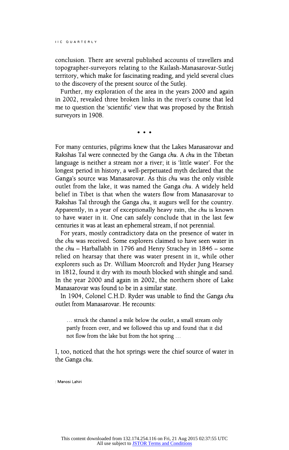conclusion. There are several published accounts of travellers and topographer-surveyors relating to the Kailash-Manasarovar-Sutlej territory, which make for fascinating reading, and yield several clues to the discovery of the present source of the Sutlej.

Further, my exploration of the area in the years 2000 and again in 2002, revealed three broken links in the river's course that led me to question the 'scientific' view that was proposed by the British surveyors in 1908.

For many centuries, pilgrims knew that the Lakes Manasarovar and Rakshas Tal were connected by the Ganga chu. A chu in the Tibetan language is neither a stream nor a river; it is 'little water'. For the longest period in history, a well-perpetuated myth declared that the Ganga's source was Manasarovar. As this chu was the only visible outlet from the lake, it was named the Ganga chu. A widely held belief in Tibet is that when the waters flow from Manasarovar to Rakshas Tal through the Ganga chu, it augurs well for the country. Apparently, in a year of exceptionally heavy rain, the chu is known to have water in it. One can safely conclude that in the last few centuries it was at least an ephemeral stream, if not perennial.

For years, mostly contradictory data on the presence of water in the chu was received. Some explorers claimed to have seen water in the chu - Harballabh in 1796 and Henry Strachey in 1846 - some relied on hearsay that there was water present in it, while other explorers such as Dr. William Moorcroft and Hyder Jung Hearsey in 1812, found it dry with its mouth blocked with shingle and sand. In the year 2000 and again in 2002, the northern shore of Lake Manasarovar was found to be in a similar state.

In 1904, Colonel C.H.D. Ryder was unable to find the Ganga chu outlet from Manasarovar. He recounts:

... struck the channel a mile below the outlet, a small stream only partly frozen over, and we followed this up and found that it did not flow from the lake but from the hot spring ...

I, too, noticed that the hot springs were the chief source of water in the Ganga chu.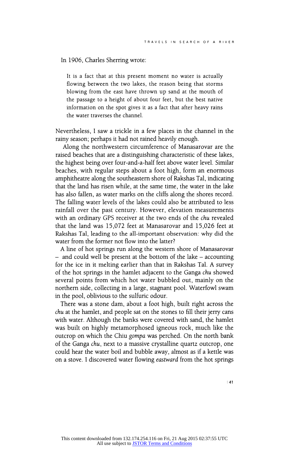## In 1906, Charles Sherring wrote:

It is a fact that at this present moment no water is actually flowing between the two lakes, the reason being that storms blowing from the east have thrown up sand at the mouth of the passage to a height of about four feet, but the best native information on the spot gives it as a fact that after heavy rains the water traverses the channel.

Nevertheless, I saw a trickle in a few places in the channel in the rainy season; perhaps it had not rained heavily enough.

Along the northwestern circumference of Manasarovar are the raised beaches that are a distinguishing characteristic of these lakes, the highest being over four-and-a-half feet above water level. Similar beaches, with regular steps about a foot high, form an enormous amphitheatre along the southeastern shore of Rakshas Tal, indicating that the land has risen while, at the same time, the water in the lake has also fallen, as water marks on the cliffs along the shores record. The falling water levels of the lakes could also be attributed to less rainfall over the past century. However, elevation measurements with an ordinary GPS receiver at the two ends of the chu revealed that the land was 15,072 feet at Manasarovar and 15,026 feet at Rakshas Tal, leading to the all-important observation: why did the water from the former not flow into the latter?

A line of hot springs run along the western shore of Manasarovar  $-$  and could well be present at the bottom of the lake  $-$  accounting for the ice in it melting earlier than that in Rakshas Tal. A survey of the hot springs in the hamlet adjacent to the Ganga chu showed several points from which hot water bubbled out, mainly on the northern side, collecting in a large, stagnant pool. Waterfowl swam in the pool, oblivious to the sulfuric odour.

There was a stone dam, about a foot high, built right across the chu at the hamlet, and people sat on the stones to fill their jerry cans with water. Although the banks were covered with sand, the hamlet was built on highly metamorphosed igneous rock, much like the outcrop on which the Chiu gompa was perched. On the north bank of the Ganga chu, next to a massive crystalline quartz outcrop, one could hear the water boil and bubble away, almost as if a kettle was on a stove. I discovered water flowing eastward from the hot springs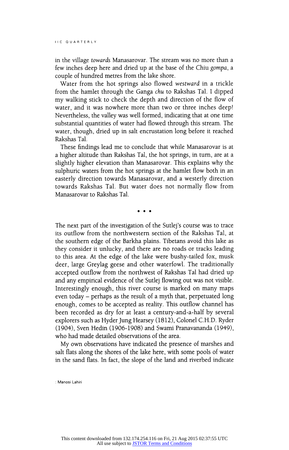in the village towards Manasarovar. The stream was no more than a few inches deep here and dried up at the base of the Chiu gompa, a couple of hundred metres from the lake shore.

Water from the hot springs also flowed westward in a trickle from the hamlet through the Ganga chu to Rakshas Tal. I dipped my walking stick to check the depth and direction of the flow of water, and it was nowhere more than two or three inches deep! Nevertheless, the valley was well formed, indicating that at one time substantial quantities of water had flowed through this stream. The water, though, dried up in salt encrustation long before it reached Rakshas Tal.

These findings lead me to conclude that while Manasarovar is at a higher altitude than Rakshas Tal, the hot springs, in turn, are at a slightly higher elevation than Manasarovar. This explains why the sulphuric waters from the hot springs at the hamlet flow both in an easterly direction towards Manasarovar, and a westerly direction towards Rakshas Tal. But water does not normally flow from Manasarovar to Rakshas Tal.

The next part of the investigation of the Sutlej's course was to trace its outflow from the northwestern section of the Rakshas Tal, at the southern edge of the Barkha plains. Tibetans avoid this lake as they consider it unlucky, and there are no roads or tracks leading to this area. At the edge of the lake were bushy-tailed fox, musk deer, large Greylag geese and other waterfowl. The traditionally accepted outflow from the northwest of Rakshas Tal had dried up and any empirical evidence of the Sutlej flowing out was not visible. Interestingly enough, this river course is marked on many maps even today - perhaps as the result of a myth that, perpetuated long enough, comes to be accepted as reality. This outflow channel has been recorded as dry for at least a century-and-a-half by several explorers such as Hyder Jung Hearsey (1812), Colonel C.H.D. Ryder (1904), Sven Hedin (1906-1908) and Swami Pranavananda (1949), who had made detailed observations of the area.

My own observations have indicated the presence of marshes and salt flats along the shores of the lake here, with some pools of water in the sand flats. In fact, the slope of the land and riverbed indicate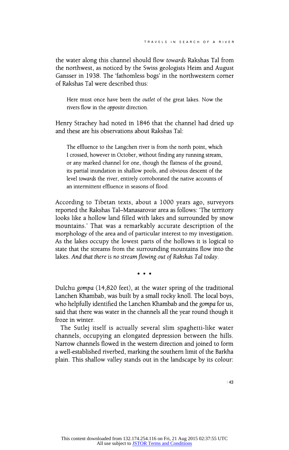the water along this channel should flow towards Rakshas Tal from the northwest, as noticed by the Swiss geologists Heim and August Gansser in 1938. The 'fathomless bogs' in the northwestern corner of Rakshas Tal were described thus:

Here must once have been the outlet of the great lakes. Now the rivers flow in the opposite direction.

Henry Strachey had noted in 1846 that the channel had dried up and these are his observations about Rakshas Tal:

The effluence to the Langchen river is from the north point, which I crossed, however in October, without finding any running stream, or any marked channel for one, though the flatness of the ground, its partial inundation in shallow pools, and obvious descent of the level towards the river, entirely corroborated the native accounts of an intermittent effluence in seasons of flood.

According to Tibetan texts, about a 1000 years ago, surveyors reported the Rakshas Tal-Manasarovar area as follows: 'The territory looks like a hollow land filled with lakes and surrounded by snow mountains.' That was a remarkably accurate description of the morphology of the area and of particular interest to my investigation. As the lakes occupy the lowest parts of the hollows it is logical to state that the streams from the surrounding mountains flow into the lakes. And that there is no stream flowing out of Rakshas Tal today.

Dulchu gompa (14,820 feet), at the water spring of the traditional Lanchen Khambab, was built by a small rocky knoll. The local boys, who helpfully identified the Lanchen Khambab and the gompa for us, said that there was water in the channels all the year round though it froze in winter.

The Sutlej itself is actually several slim spaghetti-like water channels, occupying an elongated depression between the hills. Narrow channels flowed in the western direction and joined to form a well-established riverbed, marking the southern limit of the Barkha plain. This shallow valley stands out in the landscape by its colour: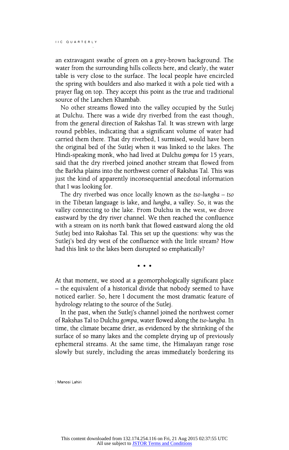an extravagant swathe of green on a grey-brown background. The water from the surrounding hills collects here, and clearly, the water table is very close to the surface. The local people have encircled the spring with boulders and also marked it with a pole tied with a prayer flag on top. They accept this point as the true and traditional source of the Lanchen Khambab.

No other streams flowed into the valley occupied by the Sutlej at Dulchu. There was a wide dry riverbed from the east though, from the general direction of Rakshas Tal. It was strewn with large round pebbles, indicating that a significant volume of water had carried them there. That dry riverbed, I surmised, would have been the original bed of the Sutlej when it was linked to the lakes. The Hindi-speaking monk, who had lived at Dulchu gompa for 15 years, said that the dry riverbed joined another stream that flowed from the Barkha plains into the northwest corner of Rakshas Tal. This was just the kind of apparently inconsequential anecdotal information that I was looking for.

The dry riverbed was once locally known as the  $tso-lungba - tso$ in the Tibetan language is lake, and lungba, a valley. So, it was the valley connecting to the lake. From Dulchu in the west, we drove eastward by the dry river channel. We then reached the confluence with a stream on its north bank that flowed eastward along the old Sutlej bed into Rakshas Tal. This set up the questions: why was the Sutlej's bed dry west of the confluence with the little stream? How had this link to the lakes been disrupted so emphatically?

At that moment, we stood at a geomorphologically significant place - the equivalent of a historical divide that nobody seemed to have noticed earlier. So, here I document the most dramatic feature of hydrology relating to the source of the Sutlej.

In the past, when the Sutlej's channel joined the northwest corner of Rakshas Tal to Dulchu gompa, water flowed along the tso-lungba. In time, the climate became drier, as evidenced by the shrinking of the surface of so many lakes and the complete drying up of previously ephemeral streams. At the same time, the Himalayan range rose slowly but surely, including the areas immediately bordering its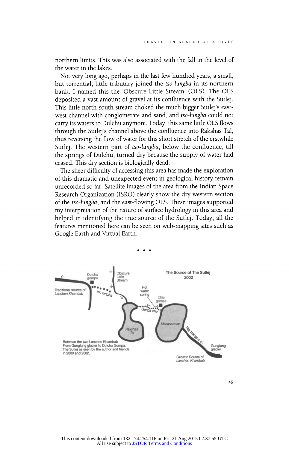northern limits. This was also associated with the fall in the level of the water in the lakes.

Not very long ago, perhaps in the last few hundred years, a small, but torrential, little tributary joined the tso-lungba in its northern bank. I named this the 'Obscure Little Stream' (OLS). The OLS deposited a vast amount of gravel at its confluence with the Sutlej. This little north-south stream choked the much bigger Sutlej's east west channel with conglomerate and sand, and tso-lungba could not carry its waters to Dulchu anymore. Today, this same little OLS flows through the Sutlej's channel above the confluence into Rakshas Tal, thus reversing the flow of water for this short stretch of the erstwhile Sutlej. The western part of tso-lungba, below the confluence, till the springs of Dulchu, turned dry because the supply of water had ceased. This dry section is biologically dead.

The sheer difficulty of accessing this area has made the exploration of this dramatic and unexpected event in geological history remain unrecorded so far. Satellite images of the area from the Indian Space Research Organization (ISRO) clearly show the dry western section of the tso-lungba, and the east-flowing OLS. These images supported my interpretation of the nature of surface hydrology in this area and helped in identifying the true source of the Sutlej. Today, all the features mentioned here can be seen on web-mapping sites such as Google Earth and Virtual Earth.

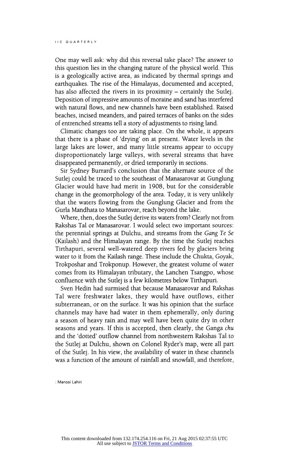One may well ask: why did this reversal take place? The answer to this question lies in the changing nature of the physical world. This is a geologically active area, as indicated by thermal springs and earthquakes. The rise of the Himalayas, documented and accepted, has also affected the rivers in its proximity - certainly the Sutlej. Deposition of impressive amounts of moraine and sand has interfered with natural flows, and new channels have been established. Raised beaches, incised meanders, and paired terraces of banks on the sides of entrenched streams tell a story of adjustments to rising land.

Climatic changes too are taking place. On the whole, it appears that there is a phase of 'drying' on at present. Water levels in the large lakes are lower, and many little streams appear to occupy disproportionately large valleys, with several streams that have disappeared permanently, or dried temporarily in sections.

Sir Sydney Burrard's conclusion that the alternate source of the Sutlej could be traced to the southeast of Manasarovar at Gunglung Glacier would have had merit in 1908, but for the considerable change in the geomorphology of the area. Today, it is very unlikely that the waters flowing from the Gunglung Glacier and from the Gurla Mandhata to Manasarovar, reach beyond the lake.

Where, then, does the Sutlej derive its waters from? Clearly not from Rakshas Tal or Manasarovar. I would select two important sources: the perennial springs at Dulchu, and streams from the Gang Te Se (Kailash) and the Himalayan range. By the time the Sutlej reaches Tirthapuri, several well-watered deep rivers fed by glaciers bring water to it from the Kailash range. These include the Chukta, Goyak, Trokposhar and Trokponup. However, the greatest volume of water comes from its Himalayan tributary, the Lanchen Tsangpo, whose confluence with the Sutlej is a few kilometres below Tirthapuri.

Sven Hedin had surmised that because Manasarovar and Rakshas Tal were freshwater lakes, they would have outflows, either subterranean, or on the surface. It was his opinion that the surface channels may have had water in them ephemerally, only during a season of heavy rain and may well have been quite dry in other seasons and years. If this is accepted, then clearly, the Ganga chu and the 'dotted' outflow channel from northwestern Rakshas Tal to the Sutlej at Dulchu, shown on Colonel Ryder's map, were all part of the Sutlej. In his view, the availability of water in these channels was a function of the amount of rainfall and snowfall, and therefore,